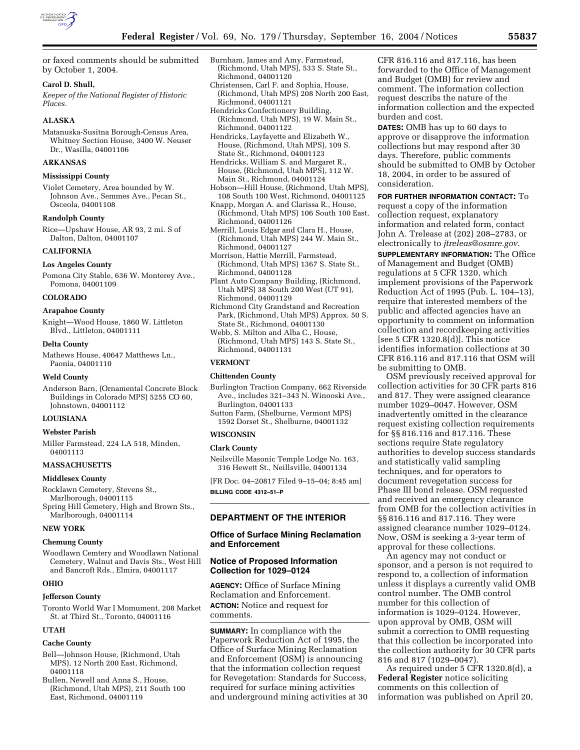

or faxed comments should be submitted by October 1, 2004.

## **Carol D. Shull,**

*Keeper of the National Register of Historic Places.*

## **ALASKA**

Matanuska-Susitna Borough-Census Area, Whitney Section House, 3400 W. Neuser Dr., Wasilla, 04001106

## **ARKANSAS**

## **Mississippi County**

Violet Cemetery, Area bounded by W. Johnson Ave., Semmes Ave., Pecan St., Osceola, 04001108

## **Randolph County**

Rice—Upshaw House, AR 93, 2 mi. S of Dalton, Dalton, 04001107

## **CALIFORNIA**

### **Los Angeles County**

Pomona City Stable, 636 W. Monterey Ave., Pomona, 04001109

## **COLORADO**

## **Arapahoe County**

Knight—Wood House, 1860 W. Littleton Blvd., Littleton, 04001111

## **Delta County**

Mathews House, 40647 Matthews Ln., Paonia, 04001110

#### **Weld County**

Anderson Barn, (Ornamental Concrete Block Buildings in Colorado MPS) 5255 CO 60, Johnstown, 04001112

# **LOUISIANA**

## **Webster Parish**

Miller Farmstead, 224 LA 518, Minden, 04001113

## **MASSACHUSETTS**

## **Middlesex County**

Rocklawn Cemetery, Stevens St., Marlborough, 04001115 Spring Hill Cemetery, High and Brown Sts., Marlborough, 04001114

#### **NEW YORK**

#### **Chemung County**

Woodlawn Cemtery and Woodlawn National Cemetery, Walnut and Davis Sts., West Hill and Bancroft Rds., Elmira, 04001117

### **OHIO**

#### **Jefferson County**

Toronto World War I Momument, 208 Market St. at Third St., Toronto, 04001116

### **UTAH**

#### **Cache County**

- Bell—Johnson House, (Richmond, Utah MPS), 12 North 200 East, Richmond, 04001118
- Bullen, Newell and Anna S., House, (Richmond, Utah MPS), 211 South 100 East, Richmond, 04001119
- Burnham, James and Amy, Farmstead, (Richmond, Utah MPS), 533 S. State St., Richmond, 04001120
- Christensen, Carl F. and Sophia, House, (Richmond, Utah MPS) 208 North 200 East, Richmond, 04001121
- Hendricks Confectionery Building, (Richmond, Utah MPS), 19 W. Main St.,
	- Richmond, 04001122
- Hendricks, Layfayette and Elizabeth W., House, (Richmond, Utah MPS), 109 S. State St., Richmond, 04001123
- Hendricks, William S. and Margaret R., House, (Richmond, Utah MPS), 112 W. Main St., Richmond, 04001124
- Hobson—Hill House, (Richmond, Utah MPS), 108 South 100 West, Richmond, 04001125
- Knapp, Morgan A. and Clarissa R., House, (Richmond, Utah MPS) 106 South 100 East, Richmond, 04001126
- Merrill, Louis Edgar and Clara H., House, (Richmond, Utah MPS) 244 W. Main St., Richmond, 04001127
- Morrison, Hattie Merrill, Farmstead, (Richmond, Utah MPS) 1367 S. State St., Richmond, 04001128
- Plant Auto Company Building, (Richmond, Utah MPS) 38 South 200 West (UT 91), Richmond, 04001129
- Richmond City Grandstand and Recreation Park, (Richmond, Utah MPS) Approx. 50 S. State St., Richmond, 04001130
- Webb, S. Milton and Alba C., House, (Richmond, Utah MPS) 143 S. State St., Richmond, 04001131

### **VERMONT**

### **Chittenden County**

- Burlington Traction Company, 662 Riverside Ave., includes 321–343 N. Winooski Ave., Burlington, 04001133
- Sutton Farm, (Shelburne, Vermont MPS) 1592 Dorset St., Shelburne, 04001132

### **WISCONSIN**

#### **Clark County**

Neilsville Masonic Temple Lodge No. 163, 316 Hewett St., Neillsville, 04001134

[FR Doc. 04–20817 Filed 9–15–04; 8:45 am] **BILLING CODE 4312–51–P**

## **DEPARTMENT OF THE INTERIOR**

## **Office of Surface Mining Reclamation and Enforcement**

### **Notice of Proposed Information Collection for 1029–0124**

**AGENCY:** Office of Surface Mining Reclamation and Enforcement. **ACTION:** Notice and request for comments.

**SUMMARY:** In compliance with the Paperwork Reduction Act of 1995, the Office of Surface Mining Reclamation and Enforcement (OSM) is announcing that the information collection request for Revegetation: Standards for Success, required for surface mining activities and underground mining activities at 30 CFR 816.116 and 817.116, has been forwarded to the Office of Management and Budget (OMB) for review and comment. The information collection request describs the nature of the information collection and the expected burden and cost.

**DATES:** OMB has up to 60 days to approve or disapprove the information collections but may respond after 30 days. Therefore, public comments should be submitted to OMB by October 18, 2004, in order to be assured of consideration.

**FOR FURTHER INFORMATION CONTACT:** To request a copy of the information collection request, explanatory information and related form, contact John A. Trelease at (202) 208–2783, or electronically to *jtreleas@osmre.gov*.

**SUPPLEMENTARY INFORMATION:** The Office of Management and Budget (OMB) regulations at 5 CFR 1320, which implement provisions of the Paperwork Reduction Act of 1995 (Pub. L. 104–13), require that interested members of the public and affected agencies have an opportunity to comment on information collection and recordkeeping activities [see 5 CFR 1320.8(d)]. This notice identifies information collections at 30 CFR 816.116 and 817.116 that OSM will be submitting to OMB.

OSM previously received approval for collection activities for 30 CFR parts 816 and 817. They were assigned clearance number 1029–0047. However, OSM inadvertently omitted in the clearance request existing collection requirements for §§ 816.116 and 817.116. These sections require State regulatory authorities to develop success standards and statistically valid sampling techniques, and for operators to document revegetation success for Phase III bond release. OSM requested and received an emergency clearance from OMB for the collection activities in §§ 816.116 and 817.116. They were assigned clearance number 1029–0124. Now, OSM is seeking a 3-year term of approval for these collections.

An agency may not conduct or sponsor, and a person is not required to respond to, a collection of information unless it displays a currently valid OMB control number. The OMB control number for this collection of information is 1029–0124. However, upon approval by OMB, OSM will submit a correction to OMB requesting that this collection be incorporated into the collection authority for 30 CFR parts 816 and 817 (1029–0047).

As required under 5 CFR 1320.8(d), a **Federal Register** notice soliciting comments on this collection of information was published on April 20,